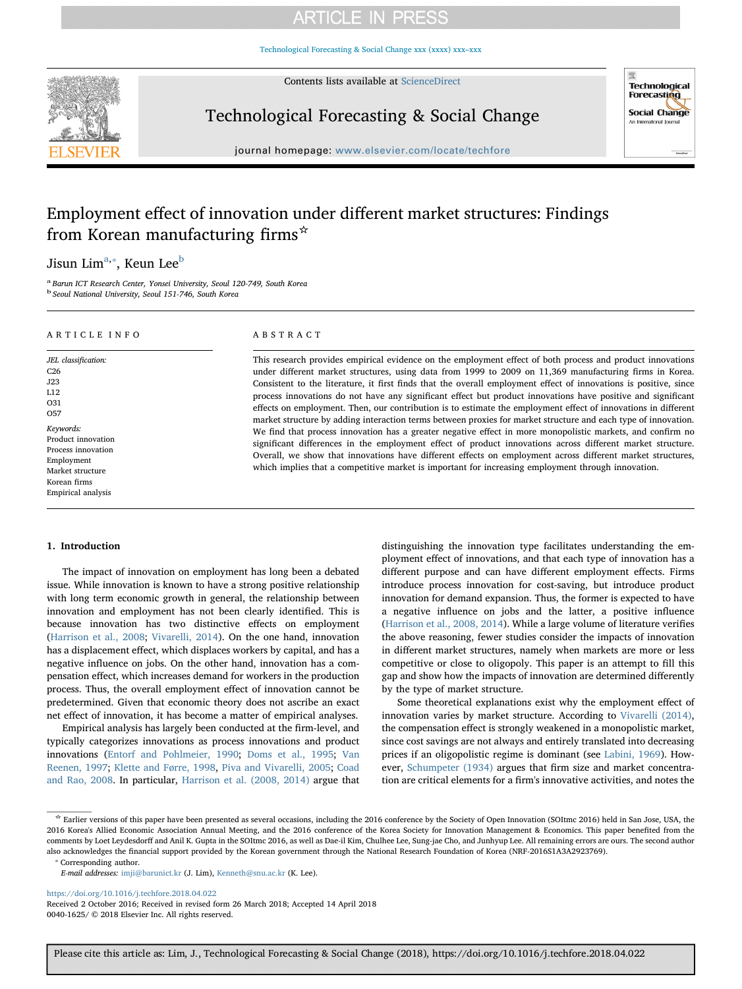[Technological Forecasting & Social Change xxx \(xxxx\) xxx–xxx](https://doi.org/10.1016/j.techfore.2018.04.022)



Contents lists available at [ScienceDirect](http://www.sciencedirect.com/science/journal/00401625)

Technological Forecasting & Social Change



journal homepage: [www.elsevier.com/locate/techfore](https://www.elsevier.com/locate/techfore)

# Employment effect of innovation under different market structures: Findings from Korean manufacturing firms $\dot{r}$

# Jisun Lim<sup>[a](#page-0-0),</sup>\*, Keun Lee<sup>b</sup>

<span id="page-0-2"></span><span id="page-0-0"></span><sup>a</sup> Barun ICT Research Center, Yonsei University, Seoul 120-749, South Korea <sup>b</sup> Seoul National University, Seoul 151-746, South Korea

# ARTICLE INFO

JEL classification: C<sub>26</sub> J23 L12 O31 O<sub>57</sub> Keywords: Product innovation Process innovation Employment Market structure Korean firms Empirical analysis

## ABSTRACT

This research provides empirical evidence on the employment effect of both process and product innovations under different market structures, using data from 1999 to 2009 on 11,369 manufacturing firms in Korea. Consistent to the literature, it first finds that the overall employment effect of innovations is positive, since process innovations do not have any significant effect but product innovations have positive and significant effects on employment. Then, our contribution is to estimate the employment effect of innovations in different market structure by adding interaction terms between proxies for market structure and each type of innovation. We find that process innovation has a greater negative effect in more monopolistic markets, and confirm no significant differences in the employment effect of product innovations across different market structure. Overall, we show that innovations have different effects on employment across different market structures, which implies that a competitive market is important for increasing employment through innovation.

### 1. Introduction

The impact of innovation on employment has long been a debated issue. While innovation is known to have a strong positive relationship with long term economic growth in general, the relationship between innovation and employment has not been clearly identified. This is because innovation has two distinctive effects on employment ([Harrison et al., 2008](#page-8-0); [Vivarelli, 2014](#page-9-0)). On the one hand, innovation has a displacement effect, which displaces workers by capital, and has a negative influence on jobs. On the other hand, innovation has a compensation effect, which increases demand for workers in the production process. Thus, the overall employment effect of innovation cannot be predetermined. Given that economic theory does not ascribe an exact net effect of innovation, it has become a matter of empirical analyses.

Empirical analysis has largely been conducted at the firm-level, and typically categorizes innovations as process innovations and product innovations ([Entorf and Pohlmeier, 1990;](#page-8-1) [Doms et al., 1995;](#page-8-2) [Van](#page-9-1) [Reenen, 1997;](#page-9-1) [Klette and Førre, 1998](#page-8-3), [Piva and Vivarelli, 2005;](#page-9-2) [Coad](#page-8-4) [and Rao, 2008.](#page-8-4) In particular, [Harrison et al. \(2008, 2014\)](#page-8-0) argue that

distinguishing the innovation type facilitates understanding the employment effect of innovations, and that each type of innovation has a different purpose and can have different employment effects. Firms introduce process innovation for cost-saving, but introduce product innovation for demand expansion. Thus, the former is expected to have a negative influence on jobs and the latter, a positive influence ([Harrison et al., 2008, 2014](#page-8-0)). While a large volume of literature verifies the above reasoning, fewer studies consider the impacts of innovation in different market structures, namely when markets are more or less competitive or close to oligopoly. This paper is an attempt to fill this gap and show how the impacts of innovation are determined differently by the type of market structure.

Some theoretical explanations exist why the employment effect of innovation varies by market structure. According to [Vivarelli \(2014\)](#page-9-0), the compensation effect is strongly weakened in a monopolistic market, since cost savings are not always and entirely translated into decreasing prices if an oligopolistic regime is dominant (see [Labini, 1969](#page-9-3)). However, [Schumpeter \(1934\)](#page-9-4) argues that firm size and market concentration are critical elements for a firm's innovative activities, and notes the

<https://doi.org/10.1016/j.techfore.2018.04.022>

<sup>☆</sup> Earlier versions of this paper have been presented as several occasions, including the 2016 conference by the Society of Open Innovation (SOItmc 2016) held in San Jose, USA, the 2016 Korea's Allied Economic Association Annual Meeting, and the 2016 conference of the Korea Society for Innovation Management & Economics. This paper benefited from the comments by Loet Leydesdorff and Anil K. Gupta in the SOItmc 2016, as well as Dae-il Kim, Chulhee Lee, Sung-jae Cho, and Junhyup Lee. All remaining errors are ours. The second author also acknowledges the financial support provided by the Korean government through the National Research Foundation of Korea (NRF-2016S1A3A2923769).<br>
<sup>\*</sup> Corresponding author.

<span id="page-0-1"></span>

E-mail addresses: [imji@barunict.kr](mailto:imji@barunict.kr) (J. Lim), [Kenneth@snu.ac.kr](mailto:Kenneth@snu.ac.kr) (K. Lee).

Received 2 October 2016; Received in revised form 26 March 2018; Accepted 14 April 2018 0040-1625/ © 2018 Elsevier Inc. All rights reserved.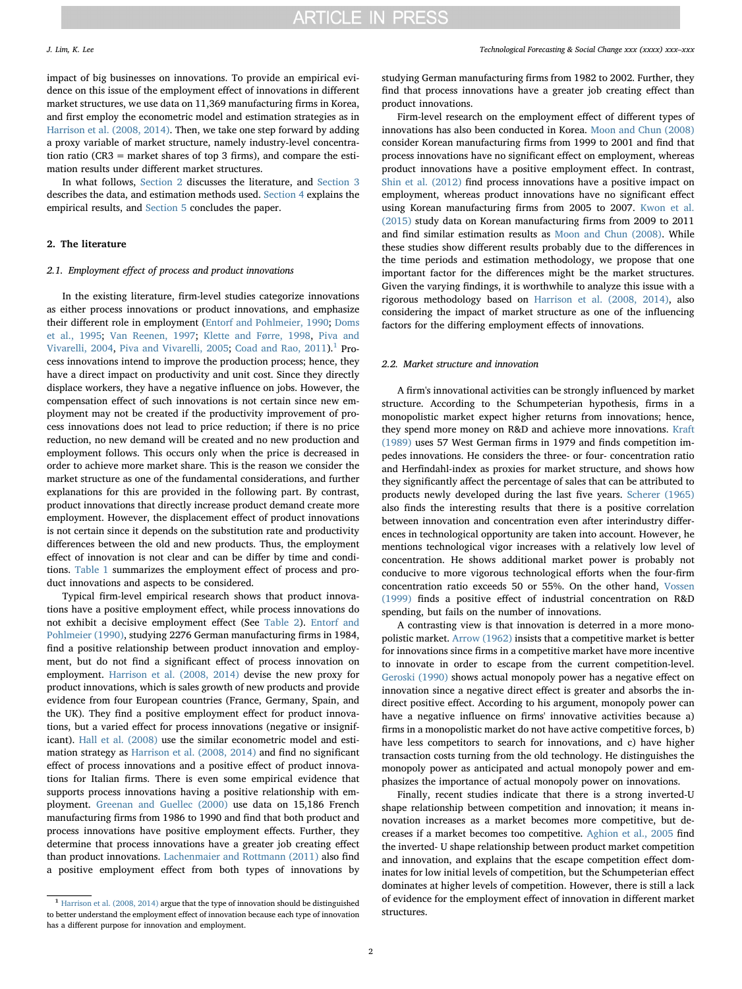J. Lim, K. Lee *Technological Forecasting & Social Change xxx (xxxx) xxx–xxx*

impact of big businesses on innovations. To provide an empirical evidence on this issue of the employment effect of innovations in different market structures, we use data on 11,369 manufacturing firms in Korea, and first employ the econometric model and estimation strategies as in [Harrison et al. \(2008, 2014\)](#page-8-0). Then, we take one step forward by adding a proxy variable of market structure, namely industry-level concentration ratio ( $CR3$  = market shares of top 3 firms), and compare the estimation results under different market structures.

In what follows, [Section 2](#page-1-0) discusses the literature, and [Section 3](#page-3-0) describes the data, and estimation methods used. [Section 4](#page-6-0) explains the empirical results, and [Section 5](#page-8-5) concludes the paper.

## <span id="page-1-0"></span>2. The literature

#### 2.1. Employment effect of process and product innovations

In the existing literature, firm-level studies categorize innovations as either process innovations or product innovations, and emphasize their different role in employment [\(Entorf and Pohlmeier, 1990](#page-8-1); [Doms](#page-8-2) [et al., 1995;](#page-8-2) [Van Reenen, 1997](#page-9-1); [Klette and Førre, 1998](#page-8-3), [Piva and](#page-9-5) [Vivarelli, 2004,](#page-9-5) [Piva and Vivarelli, 2005;](#page-9-2) Coad and Rao,  $2011$  $2011$  $2011$ .<sup>1</sup> Process innovations intend to improve the production process; hence, they have a direct impact on productivity and unit cost. Since they directly displace workers, they have a negative influence on jobs. However, the compensation effect of such innovations is not certain since new employment may not be created if the productivity improvement of process innovations does not lead to price reduction; if there is no price reduction, no new demand will be created and no new production and employment follows. This occurs only when the price is decreased in order to achieve more market share. This is the reason we consider the market structure as one of the fundamental considerations, and further explanations for this are provided in the following part. By contrast, product innovations that directly increase product demand create more employment. However, the displacement effect of product innovations is not certain since it depends on the substitution rate and productivity differences between the old and new products. Thus, the employment effect of innovation is not clear and can be differ by time and conditions. [Table 1](#page-2-0) summarizes the employment effect of process and product innovations and aspects to be considered.

Typical firm-level empirical research shows that product innovations have a positive employment effect, while process innovations do not exhibit a decisive employment effect (See [Table 2](#page-2-1)). [Entorf and](#page-8-1) [Pohlmeier \(1990\),](#page-8-1) studying 2276 German manufacturing firms in 1984, find a positive relationship between product innovation and employment, but do not find a significant effect of process innovation on employment. [Harrison et al. \(2008, 2014\)](#page-8-0) devise the new proxy for product innovations, which is sales growth of new products and provide evidence from four European countries (France, Germany, Spain, and the UK). They find a positive employment effect for product innovations, but a varied effect for process innovations (negative or insignificant). [Hall et al. \(2008\)](#page-8-7) use the similar econometric model and estimation strategy as [Harrison et al. \(2008, 2014\)](#page-8-0) and find no significant effect of process innovations and a positive effect of product innovations for Italian firms. There is even some empirical evidence that supports process innovations having a positive relationship with employment. [Greenan and Guellec \(2000\)](#page-8-8) use data on 15,186 French manufacturing firms from 1986 to 1990 and find that both product and process innovations have positive employment effects. Further, they determine that process innovations have a greater job creating effect than product innovations. [Lachenmaier and Rottmann \(2011\)](#page-9-6) also find a positive employment effect from both types of innovations by

studying German manufacturing firms from 1982 to 2002. Further, they find that process innovations have a greater job creating effect than product innovations.

Firm-level research on the employment effect of different types of innovations has also been conducted in Korea. [Moon and Chun \(2008\)](#page-9-7) consider Korean manufacturing firms from 1999 to 2001 and find that process innovations have no significant effect on employment, whereas product innovations have a positive employment effect. In contrast, [Shin et al. \(2012\)](#page-9-8) find process innovations have a positive impact on employment, whereas product innovations have no significant effect using Korean manufacturing firms from 2005 to 2007. [Kwon et al.](#page-9-9) [\(2015\)](#page-9-9) study data on Korean manufacturing firms from 2009 to 2011 and find similar estimation results as [Moon and Chun \(2008\)](#page-9-7). While these studies show different results probably due to the differences in the time periods and estimation methodology, we propose that one important factor for the differences might be the market structures. Given the varying findings, it is worthwhile to analyze this issue with a rigorous methodology based on [Harrison et al. \(2008, 2014\),](#page-8-0) also considering the impact of market structure as one of the influencing factors for the differing employment effects of innovations.

#### <span id="page-1-2"></span>2.2. Market structure and innovation

A firm's innovational activities can be strongly influenced by market structure. According to the Schumpeterian hypothesis, firms in a monopolistic market expect higher returns from innovations; hence, they spend more money on R&D and achieve more innovations. [Kraft](#page-8-9) [\(1989\)](#page-8-9) uses 57 West German firms in 1979 and finds competition impedes innovations. He considers the three- or four- concentration ratio and Herfindahl-index as proxies for market structure, and shows how they significantly affect the percentage of sales that can be attributed to products newly developed during the last five years. [Scherer \(1965\)](#page-9-10) also finds the interesting results that there is a positive correlation between innovation and concentration even after interindustry differences in technological opportunity are taken into account. However, he mentions technological vigor increases with a relatively low level of concentration. He shows additional market power is probably not conducive to more vigorous technological efforts when the four-firm concentration ratio exceeds 50 or 55%. On the other hand, [Vossen](#page-9-11) [\(1999\)](#page-9-11) finds a positive effect of industrial concentration on R&D spending, but fails on the number of innovations.

A contrasting view is that innovation is deterred in a more monopolistic market. [Arrow \(1962\)](#page-8-10) insists that a competitive market is better for innovations since firms in a competitive market have more incentive to innovate in order to escape from the current competition-level. [Geroski \(1990\)](#page-8-11) shows actual monopoly power has a negative effect on innovation since a negative direct effect is greater and absorbs the indirect positive effect. According to his argument, monopoly power can have a negative influence on firms' innovative activities because a) firms in a monopolistic market do not have active competitive forces, b) have less competitors to search for innovations, and c) have higher transaction costs turning from the old technology. He distinguishes the monopoly power as anticipated and actual monopoly power and emphasizes the importance of actual monopoly power on innovations.

Finally, recent studies indicate that there is a strong inverted-U shape relationship between competition and innovation; it means innovation increases as a market becomes more competitive, but decreases if a market becomes too competitive. [Aghion et al., 2005](#page-8-12) find the inverted- U shape relationship between product market competition and innovation, and explains that the escape competition effect dominates for low initial levels of competition, but the Schumpeterian effect dominates at higher levels of competition. However, there is still a lack of evidence for the employment effect of innovation in different market structures.

<span id="page-1-1"></span> $^{\text{1}}$  [Harrison et al. \(2008, 2014\)](#page-8-0) argue that the type of innovation should be distinguished to better understand the employment effect of innovation because each type of innovation has a different purpose for innovation and employment.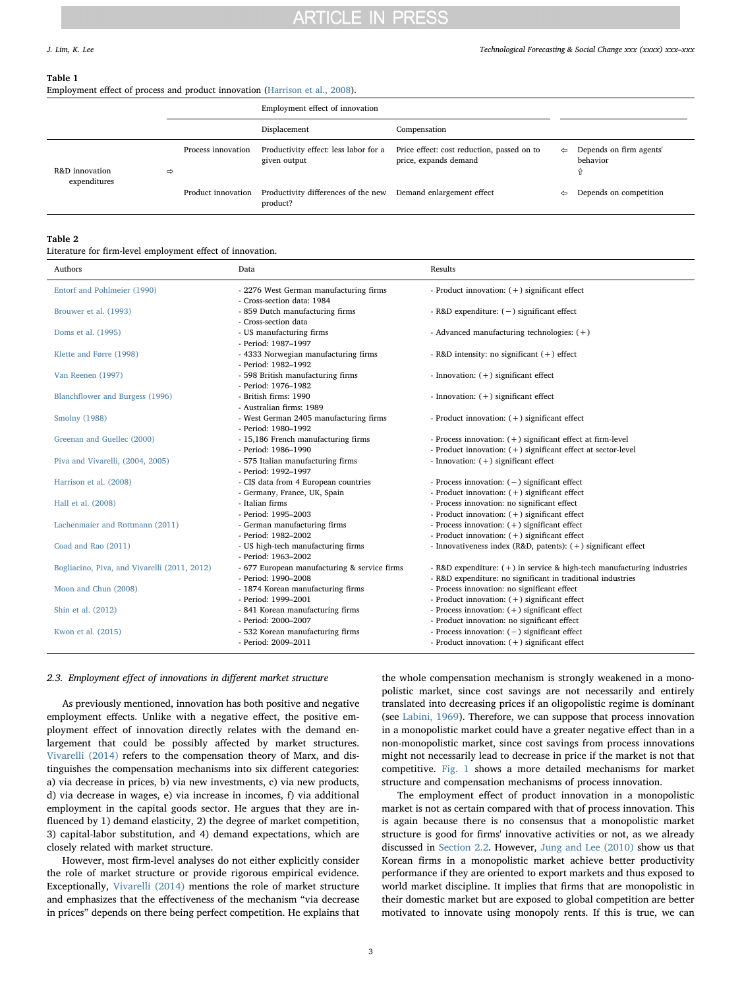#### <span id="page-2-0"></span>Table 1

Employment effect of process and product innovation ([Harrison et al., 2008\)](#page-8-0).

|                                |               |                    | Employment effect of innovation                       |                                                                     |              |                                          |
|--------------------------------|---------------|--------------------|-------------------------------------------------------|---------------------------------------------------------------------|--------------|------------------------------------------|
|                                |               |                    | Displacement                                          | Compensation                                                        |              |                                          |
| R&D innovation<br>expenditures | $\Rightarrow$ | Process innovation | Productivity effect: less labor for a<br>given output | Price effect: cost reduction, passed on to<br>price, expands demand | $\Leftarrow$ | Depends on firm agents'<br>behavior<br>⇧ |
|                                |               | Product innovation | Productivity differences of the new<br>product?       | Demand enlargement effect                                           | ⇦            | Depends on competition                   |

#### <span id="page-2-1"></span>Table 2

Literature for firm-level employment effect of innovation.

| Authors                                      | Data                                                                 | Results                                                                                                                                 |
|----------------------------------------------|----------------------------------------------------------------------|-----------------------------------------------------------------------------------------------------------------------------------------|
| Entorf and Pohlmeier (1990)                  | - 2276 West German manufacturing firms<br>- Cross-section data: 1984 | - Product innovation: $(+)$ significant effect                                                                                          |
| Brouwer et al. (1993)                        | - 859 Dutch manufacturing firms<br>- Cross-section data              | - R&D expenditure: $(-)$ significant effect                                                                                             |
| Doms et al. (1995)                           | - US manufacturing firms<br>- Period: 1987-1997                      | - Advanced manufacturing technologies: $(+)$                                                                                            |
| Klette and Førre (1998)                      | - 4333 Norwegian manufacturing firms<br>- Period: 1982-1992          | - R&D intensity: no significant $(+)$ effect                                                                                            |
| Van Reenen (1997)                            | - 598 British manufacturing firms<br>- Period: 1976-1982             | - Innovation: $(+)$ significant effect                                                                                                  |
| Blanchflower and Burgess (1996)              | - British firms: 1990<br>- Australian firms: 1989                    | - Innovation: $(+)$ significant effect                                                                                                  |
| <b>Smolny</b> (1988)                         | - West German 2405 manufacturing firms<br>- Period: 1980-1992        | - Product innovation: $(+)$ significant effect                                                                                          |
| Greenan and Guellec (2000)                   | - 15,186 French manufacturing firms<br>- Period: 1986-1990           | - Process innovation: $(+)$ significant effect at firm-level<br>- Product innovation: (+) significant effect at sector-level            |
| Piva and Vivarelli, (2004, 2005)             | - 575 Italian manufacturing firms<br>- Period: 1992-1997             | - Innovation: $(+)$ significant effect                                                                                                  |
| Harrison et al. (2008)                       | - CIS data from 4 European countries<br>- Germany, France, UK, Spain | - Process innovation: $(-)$ significant effect<br>- Product innovation: $(+)$ significant effect                                        |
| Hall et al. (2008)                           | - Italian firms<br>- Period: 1995-2003                               | - Process innovation: no significant effect<br>- Product innovation: $(+)$ significant effect                                           |
| Lachenmaier and Rottmann (2011)              | - German manufacturing firms<br>- Period: 1982-2002                  | - Process innovation: $(+)$ significant effect<br>- Product innovation: $(+)$ significant effect                                        |
| Coad and Rao (2011)                          | - US high-tech manufacturing firms<br>- Period: 1963-2002            | - Innovativeness index (R&D, patents): (+) significant effect                                                                           |
| Bogliacino, Piva, and Vivarelli (2011, 2012) | - 677 European manufacturing & service firms<br>- Period: 1990-2008  | - R&D expenditure: $(+)$ in service & high-tech manufacturing industries<br>- R&D expenditure: no significant in traditional industries |
| Moon and Chun (2008)                         | - 1874 Korean manufacturing firms<br>- Period: 1999-2001             | - Process innovation: no significant effect<br>- Product innovation: (+) significant effect                                             |
| Shin et al. (2012)                           | - 841 Korean manufacturing firms<br>- Period: 2000-2007              | - Process innovation: $(+)$ significant effect<br>- Product innovation: no significant effect                                           |
| Kwon et al. (2015)                           | - 532 Korean manufacturing firms<br>- Period: 2009-2011              | - Process innovation: $(-)$ significant effect<br>- Product innovation: $(+)$ significant effect                                        |

## 2.3. Employment effect of innovations in different market structure

As previously mentioned, innovation has both positive and negative employment effects. Unlike with a negative effect, the positive employment effect of innovation directly relates with the demand enlargement that could be possibly affected by market structures. [Vivarelli \(2014\)](#page-9-0) refers to the compensation theory of Marx, and distinguishes the compensation mechanisms into six different categories: a) via decrease in prices, b) via new investments, c) via new products, d) via decrease in wages, e) via increase in incomes, f) via additional employment in the capital goods sector. He argues that they are influenced by 1) demand elasticity, 2) the degree of market competition, 3) capital-labor substitution, and 4) demand expectations, which are closely related with market structure.

However, most firm-level analyses do not either explicitly consider the role of market structure or provide rigorous empirical evidence. Exceptionally, [Vivarelli \(2014\)](#page-9-0) mentions the role of market structure and emphasizes that the effectiveness of the mechanism "via decrease in prices" depends on there being perfect competition. He explains that

the whole compensation mechanism is strongly weakened in a monopolistic market, since cost savings are not necessarily and entirely translated into decreasing prices if an oligopolistic regime is dominant (see [Labini, 1969](#page-9-3)). Therefore, we can suppose that process innovation in a monopolistic market could have a greater negative effect than in a non-monopolistic market, since cost savings from process innovations might not necessarily lead to decrease in price if the market is not that competitive. [Fig. 1](#page-3-1) shows a more detailed mechanisms for market structure and compensation mechanisms of process innovation.

The employment effect of product innovation in a monopolistic market is not as certain compared with that of process innovation. This is again because there is no consensus that a monopolistic market structure is good for firms' innovative activities or not, as we already discussed in [Section 2.2](#page-1-2). However, [Jung and Lee \(2010\)](#page-8-13) show us that Korean firms in a monopolistic market achieve better productivity performance if they are oriented to export markets and thus exposed to world market discipline. It implies that firms that are monopolistic in their domestic market but are exposed to global competition are better motivated to innovate using monopoly rents. If this is true, we can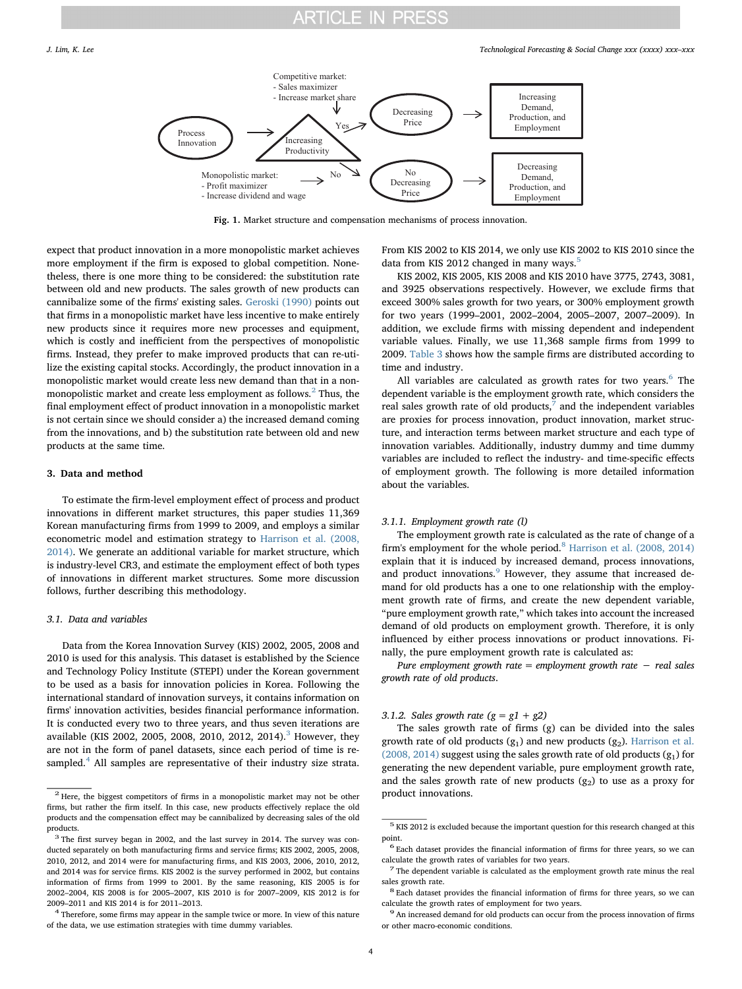<span id="page-3-1"></span>

Fig. 1. Market structure and compensation mechanisms of process innovation.

expect that product innovation in a more monopolistic market achieves more employment if the firm is exposed to global competition. Nonetheless, there is one more thing to be considered: the substitution rate between old and new products. The sales growth of new products can cannibalize some of the firms' existing sales. [Geroski \(1990\)](#page-8-11) points out that firms in a monopolistic market have less incentive to make entirely new products since it requires more new processes and equipment, which is costly and inefficient from the perspectives of monopolistic firms. Instead, they prefer to make improved products that can re-utilize the existing capital stocks. Accordingly, the product innovation in a monopolistic market would create less new demand than that in a non-monopolistic market and create less employment as follows.<sup>[2](#page-3-2)</sup> Thus, the final employment effect of product innovation in a monopolistic market is not certain since we should consider a) the increased demand coming from the innovations, and b) the substitution rate between old and new products at the same time.

#### <span id="page-3-0"></span>3. Data and method

To estimate the firm-level employment effect of process and product innovations in different market structures, this paper studies 11,369 Korean manufacturing firms from 1999 to 2009, and employs a similar econometric model and estimation strategy to [Harrison et al. \(2008,](#page-8-0) [2014\).](#page-8-0) We generate an additional variable for market structure, which is industry-level CR3, and estimate the employment effect of both types of innovations in different market structures. Some more discussion follows, further describing this methodology.

### 3.1. Data and variables

Data from the Korea Innovation Survey (KIS) 2002, 2005, 2008 and 2010 is used for this analysis. This dataset is established by the Science and Technology Policy Institute (STEPI) under the Korean government to be used as a basis for innovation policies in Korea. Following the international standard of innovation surveys, it contains information on firms' innovation activities, besides financial performance information. It is conducted every two to three years, and thus seven iterations are available (KIS 2002, 2005, 2008, 2010, 2012, 2014).<sup>[3](#page-3-3)</sup> However, they are not in the form of panel datasets, since each period of time is re-sampled.<sup>[4](#page-3-4)</sup> All samples are representative of their industry size strata.

From KIS 2002 to KIS 2014, we only use KIS 2002 to KIS 2010 since the data from KIS 2012 changed in many ways.<sup>[5](#page-3-5)</sup>

KIS 2002, KIS 2005, KIS 2008 and KIS 2010 have 3775, 2743, 3081, and 3925 observations respectively. However, we exclude firms that exceed 300% sales growth for two years, or 300% employment growth for two years (1999–2001, 2002–2004, 2005–2007, 2007–2009). In addition, we exclude firms with missing dependent and independent variable values. Finally, we use 11,368 sample firms from 1999 to 2009. [Table 3](#page-4-0) shows how the sample firms are distributed according to time and industry.

All variables are calculated as growth rates for two years. $6$  The dependent variable is the employment growth rate, which considers the real sales growth rate of old products, $^7$  $^7$  and the independent variables are proxies for process innovation, product innovation, market structure, and interaction terms between market structure and each type of innovation variables. Additionally, industry dummy and time dummy variables are included to reflect the industry- and time-specific effects of employment growth. The following is more detailed information about the variables.

## 3.1.1. Employment growth rate (l)

The employment growth rate is calculated as the rate of change of a firm's employment for the whole period. $8$  [Harrison et al. \(2008, 2014\)](#page-8-0) explain that it is induced by increased demand, process innovations, and product innovations.<sup>[9](#page-3-9)</sup> However, they assume that increased demand for old products has a one to one relationship with the employment growth rate of firms, and create the new dependent variable, "pure employment growth rate," which takes into account the increased demand of old products on employment growth. Therefore, it is only influenced by either process innovations or product innovations. Finally, the pure employment growth rate is calculated as:

Pure employment growth rate = employment growth rate  $-$  real sales growth rate of old products.

# 3.1.2. Sales growth rate  $(g = g1 + g2)$

The sales growth rate of firms (g) can be divided into the sales growth rate of old products  $(g_1)$  and new products  $(g_2)$ . [Harrison et al.](#page-8-0) [\(2008, 2014\)](#page-8-0) suggest using the sales growth rate of old products  $(g_1)$  for generating the new dependent variable, pure employment growth rate, and the sales growth rate of new products  $(g_2)$  to use as a proxy for product innovations.

<span id="page-3-2"></span> $^2$  Here, the biggest competitors of firms in a monopolistic market may not be other firms, but rather the firm itself. In this case, new products effectively replace the old products and the compensation effect may be cannibalized by decreasing sales of the old products. <sup>3</sup> The first survey began in 2002, and the last survey in 2014. The survey was con-

<span id="page-3-3"></span>ducted separately on both manufacturing firms and service firms; KIS 2002, 2005, 2008, 2010, 2012, and 2014 were for manufacturing firms, and KIS 2003, 2006, 2010, 2012, and 2014 was for service firms. KIS 2002 is the survey performed in 2002, but contains information of firms from 1999 to 2001. By the same reasoning, KIS 2005 is for 2002–2004, KIS 2008 is for 2005–2007, KIS 2010 is for 2007–2009, KIS 2012 is for

<span id="page-3-4"></span><sup>2009–2011</sup> and KIS 2014 is for 2011–2013.  $^4$  Therefore, some firms may appear in the sample twice or more. In view of this nature of the data, we use estimation strategies with time dummy variables.

<span id="page-3-5"></span> $^{\rm 5}$  KIS 2012 is excluded because the important question for this research changed at this point.  $^{\rm 6}$  Each dataset provides the financial information of firms for three years, so we can

<span id="page-3-6"></span>calculate the growth rates of variables for two years. <sup>7</sup> The dependent variable is calculated as the employment growth rate minus the real

<span id="page-3-7"></span>sales growth rate.<br><sup>8</sup> Each dataset provides the financial information of firms for three years, so we can

<span id="page-3-8"></span>calculate the growth rates of employment for two years.  $^9$  An increased demand for old products can occur from the process innovation of firms

<span id="page-3-9"></span>or other macro-economic conditions.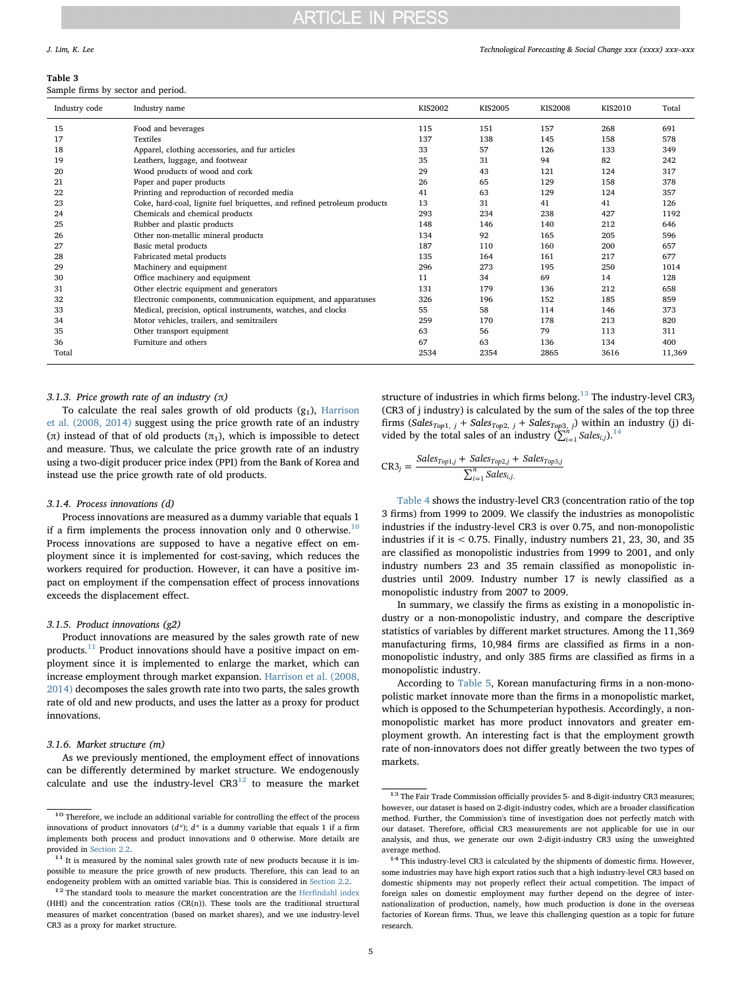#### J. Lim, K. Lee *Technological Forecasting & Social Change xxx (xxxx) xxx–xxx*

#### <span id="page-4-0"></span>Table 3

Sample firms by sector and period.

| Industry code | Industry name                                                            | <b>KIS2002</b> | <b>KIS2005</b> | <b>KIS2008</b> | KIS2010 | Total  |
|---------------|--------------------------------------------------------------------------|----------------|----------------|----------------|---------|--------|
| 15            | Food and beverages                                                       | 115            | 151            | 157            | 268     | 691    |
| 17            | Textiles                                                                 | 137            | 138            | 145            | 158     | 578    |
| 18            | Apparel, clothing accessories, and fur articles                          | 33             | 57             | 126            | 133     | 349    |
| 19            | Leathers, luggage, and footwear                                          | 35             | 31             | 94             | 82      | 242    |
| 20            | Wood products of wood and cork                                           | 29             | 43             | 121            | 124     | 317    |
| 21            | Paper and paper products                                                 | 26             | 65             | 129            | 158     | 378    |
| 22            | Printing and reproduction of recorded media                              | 41             | 63             | 129            | 124     | 357    |
| 23            | Coke, hard-coal, lignite fuel briquettes, and refined petroleum products | 13             | 31             | 41             | 41      | 126    |
| 24            | Chemicals and chemical products                                          | 293            | 234            | 238            | 427     | 1192   |
| 25            | Rubber and plastic products                                              | 148            | 146            | 140            | 212     | 646    |
| 26            | Other non-metallic mineral products                                      | 134            | 92             | 165            | 205     | 596    |
| 27            | Basic metal products                                                     | 187            | 110            | 160            | 200     | 657    |
| 28            | Fabricated metal products                                                | 135            | 164            | 161            | 217     | 677    |
| 29            | Machinery and equipment                                                  | 296            | 273            | 195            | 250     | 1014   |
| 30            | Office machinery and equipment                                           | 11             | 34             | 69             | 14      | 128    |
| 31            | Other electric equipment and generators                                  | 131            | 179            | 136            | 212     | 658    |
| 32            | Electronic components, communication equipment, and apparatuses          | 326            | 196            | 152            | 185     | 859    |
| 33            | Medical, precision, optical instruments, watches, and clocks             | 55             | 58             | 114            | 146     | 373    |
| 34            | Motor vehicles, trailers, and semitrailers                               | 259            | 170            | 178            | 213     | 820    |
| 35            | Other transport equipment                                                | 63             | 56             | 79             | 113     | 311    |
| 36            | Furniture and others                                                     | 67             | 63             | 136            | 134     | 400    |
| Total         |                                                                          | 2534           | 2354           | 2865           | 3616    | 11,369 |

## 3.1.3. Price growth rate of an industry  $(π)$

To calculate the real sales growth of old products  $(g_1)$ , [Harrison](#page-8-0) [et al. \(2008, 2014\)](#page-8-0) suggest using the price growth rate of an industry (π) instead of that of old products  $(π<sub>1</sub>)$ , which is impossible to detect and measure. Thus, we calculate the price growth rate of an industry using a two-digit producer price index (PPI) from the Bank of Korea and instead use the price growth rate of old products.

## 3.1.4. Process innovations (d)

Process innovations are measured as a dummy variable that equals 1 if a firm implements the process innovation only and 0 otherwise. $10$ Process innovations are supposed to have a negative effect on employment since it is implemented for cost-saving, which reduces the workers required for production. However, it can have a positive impact on employment if the compensation effect of process innovations exceeds the displacement effect.

## 3.1.5. Product innovations (g2)

Product innovations are measured by the sales growth rate of new products.<sup>[11](#page-4-2)</sup> Product innovations should have a positive impact on employment since it is implemented to enlarge the market, which can increase employment through market expansion. [Harrison et al. \(2008,](#page-8-0) [2014\)](#page-8-0) decomposes the sales growth rate into two parts, the sales growth rate of old and new products, and uses the latter as a proxy for product innovations.

# 3.1.6. Market structure (m)

As we previously mentioned, the employment effect of innovations can be differently determined by market structure. We endogenously calculate and use the industry-level  $CR3^{12}$  $CR3^{12}$  $CR3^{12}$  to measure the market structure of industries in which firms belong.<sup>[13](#page-4-4)</sup> The industry-level  $CR3<sub>j</sub>$ (CR3 of j industry) is calculated by the sum of the sales of the top three firms (Sales<sub>Top1, j</sub> + Sales<sub>Top2, j</sub> + Sales<sub>Top3, j</sub>) within an industry (j) divided by the total sales of an industry  $(\sum_{i=1}^{n} Sales_{i,j})$ .<sup>[14](#page-4-5)</sup>

$$
CR3_j = \frac{Sales_{Top1,j} + Sales_{Top2,j} + Sales_{Top3,j}}{\sum_{i=1}^{n} Sales_{i,j}}
$$

[Table 4](#page-5-0) shows the industry-level CR3 (concentration ratio of the top 3 firms) from 1999 to 2009. We classify the industries as monopolistic industries if the industry-level CR3 is over 0.75, and non-monopolistic industries if it is < 0.75. Finally, industry numbers 21, 23, 30, and 35 are classified as monopolistic industries from 1999 to 2001, and only industry numbers 23 and 35 remain classified as monopolistic industries until 2009. Industry number 17 is newly classified as a monopolistic industry from 2007 to 2009.

In summary, we classify the firms as existing in a monopolistic industry or a non-monopolistic industry, and compare the descriptive statistics of variables by different market structures. Among the 11,369 manufacturing firms, 10,984 firms are classified as firms in a nonmonopolistic industry, and only 385 firms are classified as firms in a monopolistic industry.

According to [Table 5](#page-5-1), Korean manufacturing firms in a non-monopolistic market innovate more than the firms in a monopolistic market, which is opposed to the Schumpeterian hypothesis. Accordingly, a nonmonopolistic market has more product innovators and greater employment growth. An interesting fact is that the employment growth rate of non-innovators does not differ greatly between the two types of markets.

<span id="page-4-1"></span> $^{\rm 10}$  Therefore, we include an additional variable for controlling the effect of the process innovations of product innovators  $(d^*)$ ;  $d^*$  is a dummy variable that equals 1 if a firm implements both process and product innovations and 0 otherwise. More details are

<span id="page-4-2"></span> $11$  It is measured by the nominal sales growth rate of new products because it is impossible to measure the price growth of new products. Therefore, this can lead to an endogeneity problem with an omitted variable bias. This is considered in [Section 2.2](#page-1-2).  $12$  The standard tools to measure the market concentration are the Herfi[ndahl index](https://en.wikipedia.org/wiki/Herfindahl_index)

<span id="page-4-3"></span><sup>(</sup>HHI) and the concentration ratios (CR(n)). These tools are the traditional structural measures of market concentration (based on market shares), and we use industry-level CR3 as a proxy for market structure.

<span id="page-4-4"></span> $13$  The Fair Trade Commission officially provides 5- and 8-digit-industry CR3 measures; however, our dataset is based on 2-digit-industry codes, which are a broader classification method. Further, the Commission's time of investigation does not perfectly match with our dataset. Therefore, official CR3 measurements are not applicable for use in our analysis, and thus, we generate our own 2-digit-industry CR3 using the unweighted average method.<br><sup>14</sup> This industry-level CR3 is calculated by the shipments of domestic firms. However,

<span id="page-4-5"></span>some industries may have high export ratios such that a high industry-level CR3 based on domestic shipments may not properly reflect their actual competition. The impact of foreign sales on domestic employment may further depend on the degree of internationalization of production, namely, how much production is done in the overseas factories of Korean firms. Thus, we leave this challenging question as a topic for future research.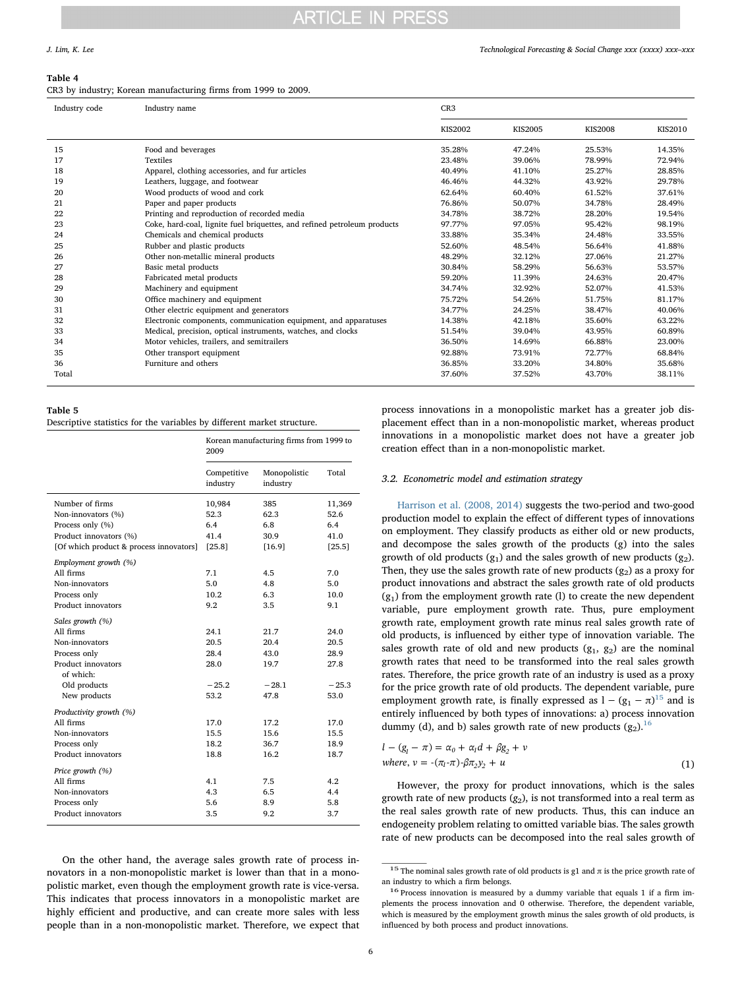#### <span id="page-5-0"></span>Table 4

CR3 by industry; Korean manufacturing firms from 1999 to 2009.

| Industry code | Industry name                                                            | CR3            |                |                |         |
|---------------|--------------------------------------------------------------------------|----------------|----------------|----------------|---------|
|               |                                                                          | <b>KIS2002</b> | <b>KIS2005</b> | <b>KIS2008</b> | KIS2010 |
| 15            | Food and beverages                                                       | 35.28%         | 47.24%         | 25.53%         | 14.35%  |
| 17            | <b>Textiles</b>                                                          | 23.48%         | 39.06%         | 78.99%         | 72.94%  |
| 18            | Apparel, clothing accessories, and fur articles                          | 40.49%         | 41.10%         | 25.27%         | 28.85%  |
| 19            | Leathers, luggage, and footwear                                          | 46.46%         | 44.32%         | 43.92%         | 29.78%  |
| 20            | Wood products of wood and cork                                           | 62.64%         | 60.40%         | 61.52%         | 37.61%  |
| 21            | Paper and paper products                                                 | 76.86%         | 50.07%         | 34.78%         | 28.49%  |
| 22            | Printing and reproduction of recorded media                              | 34.78%         | 38.72%         | 28.20%         | 19.54%  |
| 23            | Coke, hard-coal, lignite fuel briquettes, and refined petroleum products | 97.77%         | 97.05%         | 95.42%         | 98.19%  |
| 24            | Chemicals and chemical products                                          | 33.88%         | 35.34%         | 24.48%         | 33.55%  |
| 25            | Rubber and plastic products                                              | 52.60%         | 48.54%         | 56.64%         | 41.88%  |
| 26            | Other non-metallic mineral products                                      | 48.29%         | 32.12%         | 27.06%         | 21.27%  |
| 27            | Basic metal products                                                     | 30.84%         | 58.29%         | 56.63%         | 53.57%  |
| 28            | Fabricated metal products                                                | 59.20%         | 11.39%         | 24.63%         | 20.47%  |
| 29            | Machinery and equipment                                                  | 34.74%         | 32.92%         | 52.07%         | 41.53%  |
| 30            | Office machinery and equipment                                           | 75.72%         | 54.26%         | 51.75%         | 81.17%  |
| 31            | Other electric equipment and generators                                  | 34.77%         | 24.25%         | 38.47%         | 40.06%  |
| 32            | Electronic components, communication equipment, and apparatuses          | 14.38%         | 42.18%         | 35.60%         | 63.22%  |
| 33            | Medical, precision, optical instruments, watches, and clocks             | 51.54%         | 39.04%         | 43.95%         | 60.89%  |
| 34            | Motor vehicles, trailers, and semitrailers                               | 36.50%         | 14.69%         | 66.88%         | 23.00%  |
| 35            | Other transport equipment                                                | 92.88%         | 73.91%         | 72.77%         | 68.84%  |
| 36            | Furniture and others                                                     | 36.85%         | 33.20%         | 34.80%         | 35.68%  |
| Total         |                                                                          | 37.60%         | 37.52%         | 43.70%         | 38.11%  |

<span id="page-5-1"></span>Table 5

Descriptive statistics for the variables by different market structure.

|                                         | Korean manufacturing firms from 1999 to<br>2009 |                          |         |  |
|-----------------------------------------|-------------------------------------------------|--------------------------|---------|--|
|                                         | Competitive<br>industry                         | Monopolistic<br>industry | Total   |  |
| Number of firms                         | 10,984                                          | 385                      | 11,369  |  |
| Non-innovators (%)                      | 52.3                                            | 62.3                     | 52.6    |  |
| Process only (%)                        | 6.4                                             | 6.8                      | 6.4     |  |
| Product innovators (%)                  | 41.4                                            | 30.9                     | 41.0    |  |
| [Of which product & process innovators] | [25.8]                                          | [16.9]                   | [25.5]  |  |
| Employment growth (%)                   |                                                 |                          |         |  |
| All firms                               | 7.1                                             | 4.5                      | 7.0     |  |
| Non-innovators                          | 5.0                                             | 4.8                      | 5.0     |  |
| Process only                            | 10.2                                            | 6.3                      | 10.0    |  |
| Product innovators                      | 9.2                                             | 3.5                      | 9.1     |  |
| Sales growth (%)                        |                                                 |                          |         |  |
| All firms                               | 24.1                                            | 21.7                     | 24.0    |  |
| Non-innovators                          | 20.5                                            | 20.4                     | 20.5    |  |
| Process only                            | 28.4                                            | 43.0                     | 28.9    |  |
| Product innovators                      | 28.0                                            | 19.7                     | 27.8    |  |
| of which:                               |                                                 |                          |         |  |
| Old products                            | $-25.2$                                         | $-28.1$                  | $-25.3$ |  |
| New products                            | 53.2                                            | 47.8                     | 53.0    |  |
| Productivity growth (%)                 |                                                 |                          |         |  |
| All firms                               | 17.0                                            | 17.2                     | 17.0    |  |
| Non-innovators                          | 15.5                                            | 15.6                     | 15.5    |  |
| Process only                            | 18.2                                            | 36.7                     | 18.9    |  |
| Product innovators                      | 18.8                                            | 16.2                     | 18.7    |  |
| Price growth (%)                        |                                                 |                          |         |  |
| All firms                               | 4.1                                             | 7.5                      | 4.2     |  |
| Non-innovators                          | 4.3                                             | 6.5                      | 4.4     |  |
| Process only                            | 5.6                                             | 8.9                      | 5.8     |  |
| Product innovators                      | 3.5                                             | 9.2                      | 3.7     |  |
|                                         |                                                 |                          |         |  |

On the other hand, the average sales growth rate of process innovators in a non-monopolistic market is lower than that in a monopolistic market, even though the employment growth rate is vice-versa. This indicates that process innovators in a monopolistic market are highly efficient and productive, and can create more sales with less people than in a non-monopolistic market. Therefore, we expect that process innovations in a monopolistic market has a greater job displacement effect than in a non-monopolistic market, whereas product innovations in a monopolistic market does not have a greater job creation effect than in a non-monopolistic market.

#### 3.2. Econometric model and estimation strategy

[Harrison et al. \(2008, 2014\)](#page-8-0) suggests the two-period and two-good production model to explain the effect of different types of innovations on employment. They classify products as either old or new products, and decompose the sales growth of the products (g) into the sales growth of old products  $(g_1)$  and the sales growth of new products  $(g_2)$ . Then, they use the sales growth rate of new products  $(g_2)$  as a proxy for product innovations and abstract the sales growth rate of old products  $(g_1)$  from the employment growth rate (l) to create the new dependent variable, pure employment growth rate. Thus, pure employment growth rate, employment growth rate minus real sales growth rate of old products, is influenced by either type of innovation variable. The sales growth rate of old and new products  $(g_1, g_2)$  are the nominal growth rates that need to be transformed into the real sales growth rates. Therefore, the price growth rate of an industry is used as a proxy for the price growth rate of old products. The dependent variable, pure employment growth rate, is finally expressed as  $1 - (g_1 - \pi)^{15}$  $1 - (g_1 - \pi)^{15}$  $1 - (g_1 - \pi)^{15}$  and is entirely influenced by both types of innovations: a) process innovation dummy (d), and b) sales growth rate of new products  $(g_2)$ .<sup>[16](#page-5-3)</sup>

$$
l - (g_l - \pi) = \alpha_0 + \alpha_1 d + \beta g_2 + v
$$
  
where,  $v = -( \pi_l - \pi) - \beta \pi_2 y_2 + u$  (1)

However, the proxy for product innovations, which is the sales growth rate of new products  $(g_2)$ , is not transformed into a real term as the real sales growth rate of new products. Thus, this can induce an endogeneity problem relating to omitted variable bias. The sales growth rate of new products can be decomposed into the real sales growth of

<span id="page-5-2"></span> $^{15}$  The nominal sales growth rate of old products is g1 and  $\pi$  is the price growth rate of an industry to which a firm belongs.<br> $16$  Process innovation is measured by a dummy variable that equals 1 if a firm im-

<span id="page-5-3"></span>plements the process innovation and 0 otherwise. Therefore, the dependent variable, which is measured by the employment growth minus the sales growth of old products, is influenced by both process and product innovations.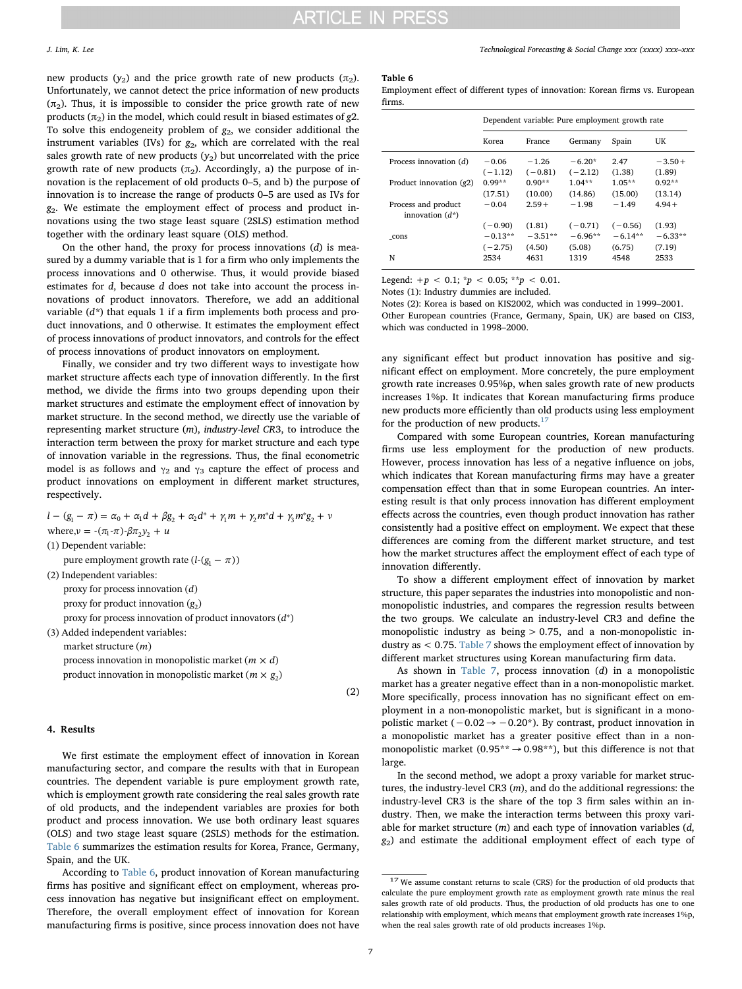new products ( $y_2$ ) and the price growth rate of new products (π<sub>2</sub>). Unfortunately, we cannot detect the price information of new products  $(\pi_2)$ . Thus, it is impossible to consider the price growth rate of new products ( $\pi_2$ ) in the model, which could result in biased estimates of g2. To solve this endogeneity problem of  $g_2$ , we consider additional the instrument variables (IVs) for  $g_2$ , which are correlated with the real sales growth rate of new products  $(y_2)$  but uncorrelated with the price growth rate of new products  $(\pi_2)$ . Accordingly, a) the purpose of innovation is the replacement of old products 0–5, and b) the purpose of innovation is to increase the range of products 0–5 are used as IVs for  $g_2$ . We estimate the employment effect of process and product innovations using the two stage least square (2SLS) estimation method together with the ordinary least square (OLS) method.

On the other hand, the proxy for process innovations  $(d)$  is measured by a dummy variable that is 1 for a firm who only implements the process innovations and 0 otherwise. Thus, it would provide biased estimates for d, because d does not take into account the process innovations of product innovators. Therefore, we add an additional variable  $(d^*)$  that equals 1 if a firm implements both process and product innovations, and 0 otherwise. It estimates the employment effect of process innovations of product innovators, and controls for the effect of process innovations of product innovators on employment.

Finally, we consider and try two different ways to investigate how market structure affects each type of innovation differently. In the first method, we divide the firms into two groups depending upon their market structures and estimate the employment effect of innovation by market structure. In the second method, we directly use the variable of representing market structure (m), industry-level CR3, to introduce the interaction term between the proxy for market structure and each type of innovation variable in the regressions. Thus, the final econometric model is as follows and  $\gamma_2$  and  $\gamma_3$  capture the effect of process and product innovations on employment in different market structures, respectively.

 $l - (g_1 - \pi) = \alpha_0 + \alpha_1 d + \beta g_2 + \alpha_2 d^* + \gamma_1 m + \gamma_2 m^* d + \gamma_3 m^* g_2 + \nu$ 

where,  $v = -(\pi_1 - \pi) - \beta \pi_2 y_2 + u$ (1) Dependent variable:

pure employment growth rate  $(l-(g_1 - \pi))$ 

(2) Independent variables:

proxy for process innovation  $(d)$ 

proxy for product innovation  $(g_2)$ 

proxy for process innovation of product innovators ( $d^*$ )

process innovation in monopolistic market  $(m \times d)$ product innovation in monopolistic market ( $m \times g_2$ ) market structure (*m*) (3) Added independent variables:

(2)

# <span id="page-6-0"></span>4. Results

We first estimate the employment effect of innovation in Korean manufacturing sector, and compare the results with that in European countries. The dependent variable is pure employment growth rate, which is employment growth rate considering the real sales growth rate of old products, and the independent variables are proxies for both product and process innovation. We use both ordinary least squares (OLS) and two stage least square (2SLS) methods for the estimation. [Table 6](#page-6-1) summarizes the estimation results for Korea, France, Germany, Spain, and the UK.

According to [Table 6,](#page-6-1) product innovation of Korean manufacturing firms has positive and significant effect on employment, whereas process innovation has negative but insignificant effect on employment. Therefore, the overall employment effect of innovation for Korean manufacturing firms is positive, since process innovation does not have

# <span id="page-6-1"></span>Table 6

Employment effect of different types of innovation: Korean firms vs. European firms.

|                                           | Dependent variable: Pure employment growth rate |                               |                                  |                                  |                               |  |
|-------------------------------------------|-------------------------------------------------|-------------------------------|----------------------------------|----------------------------------|-------------------------------|--|
|                                           | Korea                                           | France                        | Germany                          | Spain                            | UK                            |  |
| Process innovation $(d)$                  | $-0.06$<br>$(-1.12)$                            | $-1.26$<br>$(-0.81)$          | $-6.20*$<br>$(-2.12)$            | 2.47<br>(1.38)                   | $-3.50+$<br>(1.89)            |  |
| Product innovation $(g2)$                 | $0.99**$<br>(17.51)                             | $0.90**$<br>(10.00)           | $1.04**$<br>(14.86)              | $1.05**$<br>(15.00)              | $0.92**$<br>(13.14)           |  |
| Process and product<br>innovation $(d^*)$ | $-0.04$                                         | $2.59+$                       | $-1.98$                          | $-1.49$                          | $4.94 +$                      |  |
| cons                                      | $(-0.90)$<br>$-0.13**$<br>$(-2.75)$             | (1.81)<br>$-3.51**$<br>(4.50) | $(-0.71)$<br>$-6.96**$<br>(5.08) | $(-0.56)$<br>$-6.14**$<br>(6.75) | (1.93)<br>$-6.33**$<br>(7.19) |  |
| N                                         | 2534                                            | 4631                          | 1319                             | 4548                             | 2533                          |  |

Legend: + $p < 0.1$ ; \* $p < 0.05$ ; \*\* $p < 0.01$ .

Notes (1): Industry dummies are included.

Notes (2): Korea is based on KIS2002, which was conducted in 1999–2001. Other European countries (France, Germany, Spain, UK) are based on CIS3, which was conducted in 1998–2000.

any significant effect but product innovation has positive and significant effect on employment. More concretely, the pure employment growth rate increases 0.95%p, when sales growth rate of new products increases 1%p. It indicates that Korean manufacturing firms produce new products more efficiently than old products using less employment for the production of new products.<sup>[17](#page-6-2)</sup>

Compared with some European countries, Korean manufacturing firms use less employment for the production of new products. However, process innovation has less of a negative influence on jobs, which indicates that Korean manufacturing firms may have a greater compensation effect than that in some European countries. An interesting result is that only process innovation has different employment effects across the countries, even though product innovation has rather consistently had a positive effect on employment. We expect that these differences are coming from the different market structure, and test how the market structures affect the employment effect of each type of innovation differently.

To show a different employment effect of innovation by market structure, this paper separates the industries into monopolistic and nonmonopolistic industries, and compares the regression results between the two groups. We calculate an industry-level CR3 and define the monopolistic industry as being  $> 0.75$ , and a non-monopolistic industry as < 0.75. [Table 7](#page-7-0) shows the employment effect of innovation by different market structures using Korean manufacturing firm data.

As shown in [Table 7,](#page-7-0) process innovation (d) in a monopolistic market has a greater negative effect than in a non-monopolistic market. More specifically, process innovation has no significant effect on employment in a non-monopolistic market, but is significant in a monopolistic market ( $-0.02 \rightarrow -0.20^*$ ). By contrast, product innovation in a monopolistic market has a greater positive effect than in a nonmonopolistic market (0.95\*\*  $\rightarrow$  0.98\*\*), but this difference is not that large.

In the second method, we adopt a proxy variable for market structures, the industry-level CR3 (m), and do the additional regressions: the industry-level CR3 is the share of the top 3 firm sales within an industry. Then, we make the interaction terms between this proxy variable for market structure  $(m)$  and each type of innovation variables  $(d, d)$  $g_2$ ) and estimate the additional employment effect of each type of

<span id="page-6-2"></span><sup>&</sup>lt;sup>17</sup> We assume constant returns to scale (CRS) for the production of old products that calculate the pure employment growth rate as employment growth rate minus the real sales growth rate of old products. Thus, the production of old products has one to one relationship with employment, which means that employment growth rate increases 1%p, when the real sales growth rate of old products increases 1%p.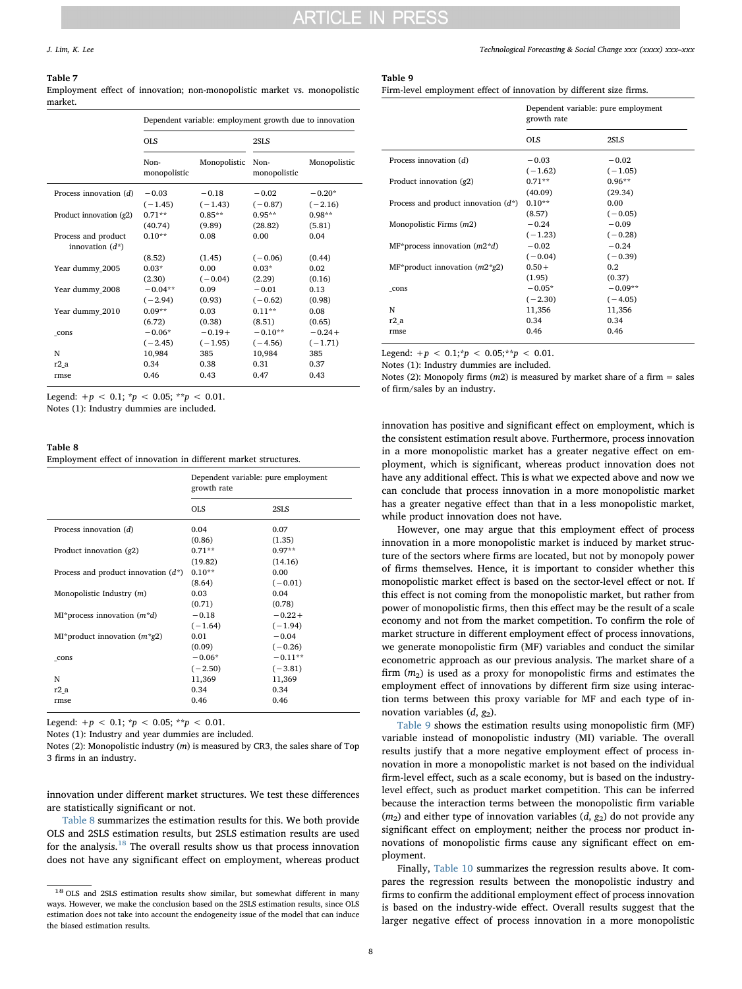#### <span id="page-7-0"></span>Table 7

Employment effect of innovation; non-monopolistic market vs. monopolistic market.

|                                           | Dependent variable: employment growth due to innovation |              |                      |              |  |
|-------------------------------------------|---------------------------------------------------------|--------------|----------------------|--------------|--|
|                                           | OLS.                                                    |              | 2SLS                 |              |  |
|                                           | Non-<br>monopolistic                                    | Monopolistic | Non-<br>monopolistic | Monopolistic |  |
| Process innovation $(d)$                  | $-0.03$                                                 | $-0.18$      | $-0.02$              | $-0.20*$     |  |
|                                           | $(-1.45)$                                               | $(-1.43)$    | $(-0.87)$            | $(-2.16)$    |  |
| Product innovation (g2)                   | $0.71**$                                                | $0.85**$     | $0.95**$             | $0.98**$     |  |
|                                           | (40.74)                                                 | (9.89)       | (28.82)              | (5.81)       |  |
| Process and product<br>innovation $(d^*)$ | $0.10**$                                                | 0.08         | 0.00                 | 0.04         |  |
|                                           | (8.52)                                                  | (1.45)       | $(-0.06)$            | (0.44)       |  |
| Year dummy_2005                           | $0.03*$                                                 | 0.00         | $0.03*$              | 0.02         |  |
|                                           | (2.30)                                                  | $(-0.04)$    | (2.29)               | (0.16)       |  |
| Year dummy_2008                           | $-0.04**$                                               | 0.09         | $-0.01$              | 0.13         |  |
|                                           | $(-2.94)$                                               | (0.93)       | $(-0.62)$            | (0.98)       |  |
| Year dummy_2010                           | $0.09**$                                                | 0.03         | $0.11**$             | 0.08         |  |
|                                           | (6.72)                                                  | (0.38)       | (8.51)               | (0.65)       |  |
| cons                                      | $-0.06*$                                                | $-0.19+$     | $-0.10**$            | $-0.24 +$    |  |
|                                           | $(-2.45)$                                               | $(-1.95)$    | $(-4.56)$            | $(-1.71)$    |  |
| N                                         | 10,984                                                  | 385          | 10,984               | 385          |  |
| $r2_a$                                    | 0.34                                                    | 0.38         | 0.31                 | 0.37         |  |
| rmse                                      | 0.46                                                    | 0.43         | 0.47                 | 0.43         |  |

Legend: + $p < 0.1$ ; \* $p < 0.05$ ; \*\* $p < 0.01$ . Notes (1): Industry dummies are included.

#### <span id="page-7-1"></span>Table 8

Employment effect of innovation in different market structures.

|                                        | Dependent variable: pure employment<br>growth rate |           |
|----------------------------------------|----------------------------------------------------|-----------|
|                                        | <b>OLS</b>                                         | 2SLS      |
| Process innovation $(d)$               | 0.04                                               | 0.07      |
|                                        | (0.86)                                             | (1.35)    |
| Product innovation $(g2)$              | $0.71**$                                           | $0.97**$  |
|                                        | (19.82)                                            | (14.16)   |
| Process and product innovation $(d^*)$ | $0.10**$                                           | 0.00      |
|                                        | (8.64)                                             | $(-0.01)$ |
| Monopolistic Industry $(m)$            | 0.03                                               | 0.04      |
|                                        | (0.71)                                             | (0.78)    |
| $MI^*$ process innovation $(m^*d)$     | $-0.18$                                            | $-0.22 +$ |
|                                        | $(-1.64)$                                          | $(-1.94)$ |
| MI*product innovation $(m*g2)$         | 0.01                                               | $-0.04$   |
|                                        | (0.09)                                             | $(-0.26)$ |
| cons                                   | $-0.06*$                                           | $-0.11**$ |
|                                        | $(-2.50)$                                          | $(-3.81)$ |
| N                                      | 11,369                                             | 11,369    |
| $r2_a$                                 | 0.34                                               | 0.34      |
| rmse                                   | 0.46                                               | 0.46      |

Legend: + $p < 0.1$ ; \* $p < 0.05$ ; \*\* $p < 0.01$ .

Notes (1): Industry and year dummies are included.

Notes (2): Monopolistic industry  $(m)$  is measured by CR3, the sales share of Top 3 firms in an industry.

innovation under different market structures. We test these differences are statistically significant or not.

[Table 8](#page-7-1) summarizes the estimation results for this. We both provide OLS and 2SLS estimation results, but 2SLS estimation results are used for the analysis. $18$  The overall results show us that process innovation does not have any significant effect on employment, whereas product

# <span id="page-7-3"></span>Table 9

Firm-level employment effect of innovation by different size firms.

|                                        | Dependent variable: pure employment<br>growth rate |           |
|----------------------------------------|----------------------------------------------------|-----------|
|                                        | <b>OLS</b>                                         | 2SLS      |
| Process innovation $(d)$               | $-0.03$                                            | $-0.02$   |
|                                        | $(-1.62)$                                          | $(-1.05)$ |
| Product innovation $(g2)$              | $0.71**$                                           | $0.96**$  |
|                                        | (40.09)                                            | (29.34)   |
| Process and product innovation $(d^*)$ | $0.10**$                                           | 0.00      |
|                                        | (8.57)                                             | $(-0.05)$ |
| Monopolistic Firms (m2)                | $-0.24$                                            | $-0.09$   |
|                                        | $(-1.23)$                                          | $(-0.28)$ |
| $MF^*$ process innovation $(m2^*d)$    | $-0.02$                                            | $-0.24$   |
|                                        | $(-0.04)$                                          | $(-0.39)$ |
| $MF*$ product innovation ( $m2*g2$ )   | $0.50+$                                            | 0.2       |
|                                        | (1.95)                                             | (0.37)    |
| cons                                   | $-0.05*$                                           | $-0.09**$ |
|                                        | $(-2.30)$                                          | $(-4.05)$ |
| N                                      | 11,356                                             | 11,356    |
| $r2_a$                                 | 0.34                                               | 0.34      |
| rmse                                   | 0.46                                               | 0.46      |

Legend:  $+p < 0.1$ ;\* $p < 0.05$ ;\*\* $p < 0.01$ .

Notes (1): Industry dummies are included.

Notes (2): Monopoly firms  $(m2)$  is measured by market share of a firm = sales of firm/sales by an industry.

innovation has positive and significant effect on employment, which is the consistent estimation result above. Furthermore, process innovation in a more monopolistic market has a greater negative effect on employment, which is significant, whereas product innovation does not have any additional effect. This is what we expected above and now we can conclude that process innovation in a more monopolistic market has a greater negative effect than that in a less monopolistic market, while product innovation does not have.

However, one may argue that this employment effect of process innovation in a more monopolistic market is induced by market structure of the sectors where firms are located, but not by monopoly power of firms themselves. Hence, it is important to consider whether this monopolistic market effect is based on the sector-level effect or not. If this effect is not coming from the monopolistic market, but rather from power of monopolistic firms, then this effect may be the result of a scale economy and not from the market competition. To confirm the role of market structure in different employment effect of process innovations, we generate monopolistic firm (MF) variables and conduct the similar econometric approach as our previous analysis. The market share of a firm  $(m<sub>2</sub>)$  is used as a proxy for monopolistic firms and estimates the employment effect of innovations by different firm size using interaction terms between this proxy variable for MF and each type of innovation variables  $(d, g_2)$ .

[Table 9](#page-7-3) shows the estimation results using monopolistic firm (MF) variable instead of monopolistic industry (MI) variable. The overall results justify that a more negative employment effect of process innovation in more a monopolistic market is not based on the individual firm-level effect, such as a scale economy, but is based on the industrylevel effect, such as product market competition. This can be inferred because the interaction terms between the monopolistic firm variable  $(m<sub>2</sub>)$  and either type of innovation variables  $(d, g<sub>2</sub>)$  do not provide any significant effect on employment; neither the process nor product innovations of monopolistic firms cause any significant effect on employment.

Finally, [Table 10](#page-8-17) summarizes the regression results above. It compares the regression results between the monopolistic industry and firms to confirm the additional employment effect of process innovation is based on the industry-wide effect. Overall results suggest that the larger negative effect of process innovation in a more monopolistic

<span id="page-7-2"></span><sup>18</sup> OLS and 2SLS estimation results show similar, but somewhat different in many ways. However, we make the conclusion based on the 2SLS estimation results, since OLS estimation does not take into account the endogeneity issue of the model that can induce the biased estimation results.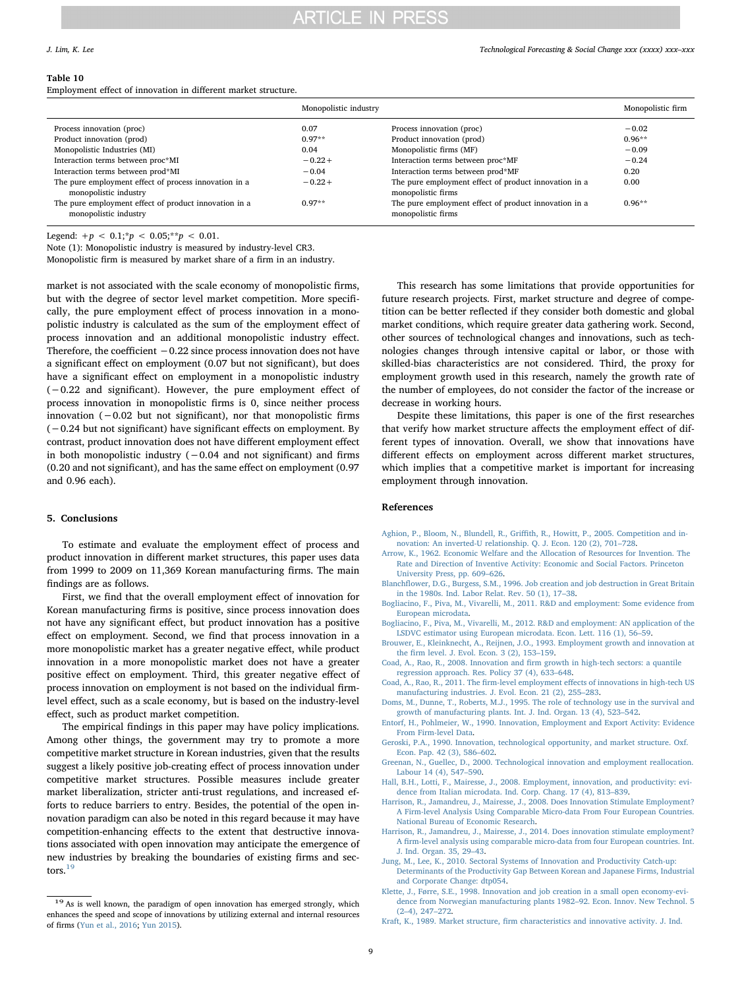#### <span id="page-8-17"></span>Table 10

Employment effect of innovation in different market structure.

|                                                                                            | Monopolistic industry |                                                                                            | Monopolistic firm   |
|--------------------------------------------------------------------------------------------|-----------------------|--------------------------------------------------------------------------------------------|---------------------|
| Process innovation (proc)<br>Product innovation (prod)                                     | 0.07<br>$0.97**$      | Process innovation (proc)<br>Product innovation (prod)                                     | $-0.02$<br>$0.96**$ |
| Monopolistic Industries (MI)                                                               | 0.04                  | Monopolistic firms (MF)                                                                    | $-0.09$             |
| Interaction terms between proc*MI                                                          | $-0.22 +$             | Interaction terms between proc*MF                                                          | $-0.24$             |
| Interaction terms between prod*MI<br>The pure employment effect of process innovation in a | $-0.04$<br>$-0.22 +$  | Interaction terms between prod*MF<br>The pure employment effect of product innovation in a | 0.20<br>0.00        |
| monopolistic industry                                                                      |                       | monopolistic firms                                                                         |                     |
| The pure employment effect of product innovation in a<br>monopolistic industry             | $0.97**$              | The pure employment effect of product innovation in a<br>monopolistic firms                | $0.96**$            |

Legend:  $+p < 0.1; p < 0.05; r=p < 0.01$ .

Note (1): Monopolistic industry is measured by industry-level CR3.

Monopolistic firm is measured by market share of a firm in an industry.

market is not associated with the scale economy of monopolistic firms, but with the degree of sector level market competition. More specifically, the pure employment effect of process innovation in a monopolistic industry is calculated as the sum of the employment effect of process innovation and an additional monopolistic industry effect. Therefore, the coefficient −0.22 since process innovation does not have a significant effect on employment (0.07 but not significant), but does have a significant effect on employment in a monopolistic industry (−0.22 and significant). However, the pure employment effect of process innovation in monopolistic firms is 0, since neither process innovation (−0.02 but not significant), nor that monopolistic firms (−0.24 but not significant) have significant effects on employment. By contrast, product innovation does not have different employment effect in both monopolistic industry  $(-0.04$  and not significant) and firms (0.20 and not significant), and has the same effect on employment (0.97 and 0.96 each).

## <span id="page-8-5"></span>5. Conclusions

To estimate and evaluate the employment effect of process and product innovation in different market structures, this paper uses data from 1999 to 2009 on 11,369 Korean manufacturing firms. The main findings are as follows.

First, we find that the overall employment effect of innovation for Korean manufacturing firms is positive, since process innovation does not have any significant effect, but product innovation has a positive effect on employment. Second, we find that process innovation in a more monopolistic market has a greater negative effect, while product innovation in a more monopolistic market does not have a greater positive effect on employment. Third, this greater negative effect of process innovation on employment is not based on the individual firmlevel effect, such as a scale economy, but is based on the industry-level effect, such as product market competition.

The empirical findings in this paper may have policy implications. Among other things, the government may try to promote a more competitive market structure in Korean industries, given that the results suggest a likely positive job-creating effect of process innovation under competitive market structures. Possible measures include greater market liberalization, stricter anti-trust regulations, and increased efforts to reduce barriers to entry. Besides, the potential of the open innovation paradigm can also be noted in this regard because it may have competition-enhancing effects to the extent that destructive innovations associated with open innovation may anticipate the emergence of new industries by breaking the boundaries of existing firms and sec-tors.<sup>[19](#page-8-18)</sup>

This research has some limitations that provide opportunities for future research projects. First, market structure and degree of competition can be better reflected if they consider both domestic and global market conditions, which require greater data gathering work. Second, other sources of technological changes and innovations, such as technologies changes through intensive capital or labor, or those with skilled-bias characteristics are not considered. Third, the proxy for employment growth used in this research, namely the growth rate of the number of employees, do not consider the factor of the increase or decrease in working hours.

Despite these limitations, this paper is one of the first researches that verify how market structure affects the employment effect of different types of innovation. Overall, we show that innovations have different effects on employment across different market structures, which implies that a competitive market is important for increasing employment through innovation.

## References

- <span id="page-8-12"></span>Aghion, P., Bloom, N., Blundell, R., Griffi[th, R., Howitt, P., 2005. Competition and in](http://refhub.elsevier.com/S0040-1625(18)30639-5/rf0005)[novation: An inverted-U relationship. Q. J. Econ. 120 \(2\), 701](http://refhub.elsevier.com/S0040-1625(18)30639-5/rf0005)–728.
- <span id="page-8-10"></span>[Arrow, K., 1962. Economic Welfare and the Allocation of Resources for Invention. The](http://refhub.elsevier.com/S0040-1625(18)30639-5/rf0010) [Rate and Direction of Inventive Activity: Economic and Social Factors. Princeton](http://refhub.elsevier.com/S0040-1625(18)30639-5/rf0010) [University Press, pp. 609](http://refhub.elsevier.com/S0040-1625(18)30639-5/rf0010)–626.
- <span id="page-8-15"></span>Blanchfl[ower, D.G., Burgess, S.M., 1996. Job creation and job destruction in Great Britain](http://refhub.elsevier.com/S0040-1625(18)30639-5/rf0015) [in the 1980s. Ind. Labor Relat. Rev. 50 \(1\), 17](http://refhub.elsevier.com/S0040-1625(18)30639-5/rf0015)–38.
- <span id="page-8-16"></span>[Bogliacino, F., Piva, M., Vivarelli, M., 2011. R&D and employment: Some evidence from](http://refhub.elsevier.com/S0040-1625(18)30639-5/rf9000) [European microdata](http://refhub.elsevier.com/S0040-1625(18)30639-5/rf9000).
- [Bogliacino, F., Piva, M., Vivarelli, M., 2012. R&D and employment: AN application of the](http://refhub.elsevier.com/S0040-1625(18)30639-5/rf0025) [LSDVC estimator using European microdata. Econ. Lett. 116 \(1\), 56](http://refhub.elsevier.com/S0040-1625(18)30639-5/rf0025)–59.
- <span id="page-8-14"></span>[Brouwer, E., Kleinknecht, A., Reijnen, J.O., 1993. Employment growth and innovation at](http://refhub.elsevier.com/S0040-1625(18)30639-5/rf0030) the fi[rm level. J. Evol. Econ. 3 \(2\), 153](http://refhub.elsevier.com/S0040-1625(18)30639-5/rf0030)–159.
- <span id="page-8-4"></span>Coad, A., Rao, R., 2008. Innovation and fi[rm growth in high-tech sectors: a quantile](http://refhub.elsevier.com/S0040-1625(18)30639-5/rf0035) [regression approach. Res. Policy 37 \(4\), 633](http://refhub.elsevier.com/S0040-1625(18)30639-5/rf0035)–648.
- <span id="page-8-6"></span>Coad, A., Rao, R., 2011. The firm-level employment eff[ects of innovations in high-tech US](http://refhub.elsevier.com/S0040-1625(18)30639-5/rf9010) [manufacturing industries. J. Evol. Econ. 21 \(2\), 255](http://refhub.elsevier.com/S0040-1625(18)30639-5/rf9010)–283.
- <span id="page-8-2"></span>[Doms, M., Dunne, T., Roberts, M.J., 1995. The role of technology use in the survival and](http://refhub.elsevier.com/S0040-1625(18)30639-5/rf0040) [growth of manufacturing plants. Int. J. Ind. Organ. 13 \(4\), 523](http://refhub.elsevier.com/S0040-1625(18)30639-5/rf0040)–542.
- <span id="page-8-1"></span>[Entorf, H., Pohlmeier, W., 1990. Innovation, Employment and Export Activity: Evidence](http://refhub.elsevier.com/S0040-1625(18)30639-5/rf0045) [From Firm-level Data](http://refhub.elsevier.com/S0040-1625(18)30639-5/rf0045).
- <span id="page-8-11"></span>[Geroski, P.A., 1990. Innovation, technological opportunity, and market structure. Oxf.](http://refhub.elsevier.com/S0040-1625(18)30639-5/rf0050) [Econ. Pap. 42 \(3\), 586](http://refhub.elsevier.com/S0040-1625(18)30639-5/rf0050)–602.
- <span id="page-8-8"></span>[Greenan, N., Guellec, D., 2000. Technological innovation and employment reallocation.](http://refhub.elsevier.com/S0040-1625(18)30639-5/rf0055) [Labour 14 \(4\), 547](http://refhub.elsevier.com/S0040-1625(18)30639-5/rf0055)–590.
- <span id="page-8-7"></span>[Hall, B.H., Lotti, F., Mairesse, J., 2008. Employment, innovation, and productivity: evi](http://refhub.elsevier.com/S0040-1625(18)30639-5/rf0060)[dence from Italian microdata. Ind. Corp. Chang. 17 \(4\), 813](http://refhub.elsevier.com/S0040-1625(18)30639-5/rf0060)–839.
- <span id="page-8-0"></span>[Harrison, R., Jamandreu, J., Mairesse, J., 2008. Does Innovation Stimulate Employment?](http://refhub.elsevier.com/S0040-1625(18)30639-5/rf0065) [A Firm-level Analysis Using Comparable Micro-data From Four European Countries.](http://refhub.elsevier.com/S0040-1625(18)30639-5/rf0065) [National Bureau of Economic Research.](http://refhub.elsevier.com/S0040-1625(18)30639-5/rf0065)
- [Harrison, R., Jamandreu, J., Mairesse, J., 2014. Does innovation stimulate employment?](http://refhub.elsevier.com/S0040-1625(18)30639-5/rf0070) A fi[rm-level analysis using comparable micro-data from four European countries. Int.](http://refhub.elsevier.com/S0040-1625(18)30639-5/rf0070) [J. Ind. Organ. 35, 29](http://refhub.elsevier.com/S0040-1625(18)30639-5/rf0070)–43.
- <span id="page-8-13"></span>[Jung, M., Lee, K., 2010. Sectoral Systems of Innovation and Productivity Catch-up:](http://refhub.elsevier.com/S0040-1625(18)30639-5/rf0075) [Determinants of the Productivity Gap Between Korean and Japanese Firms, Industrial](http://refhub.elsevier.com/S0040-1625(18)30639-5/rf0075) [and Corporate Change: dtp054](http://refhub.elsevier.com/S0040-1625(18)30639-5/rf0075).
- <span id="page-8-3"></span>[Klette, J., Førre, S.E., 1998. Innovation and job creation in a small open economy-evi](http://refhub.elsevier.com/S0040-1625(18)30639-5/rf0080)[dence from Norwegian manufacturing plants 1982](http://refhub.elsevier.com/S0040-1625(18)30639-5/rf0080)–92. Econ. Innov. New Technol. 5 (2–[4\), 247](http://refhub.elsevier.com/S0040-1625(18)30639-5/rf0080)–272.
- <span id="page-8-9"></span>Kraft, K., 1989. Market structure, firm [characteristics and innovative activity. J. Ind.](http://refhub.elsevier.com/S0040-1625(18)30639-5/rf0085)

<span id="page-8-18"></span><sup>&</sup>lt;sup>19</sup> As is well known, the paradigm of open innovation has emerged strongly, which enhances the speed and scope of innovations by utilizing external and internal resources of firms [\(Yun et al., 2016](#page-9-13); [Yun 2015\)](#page-9-14).